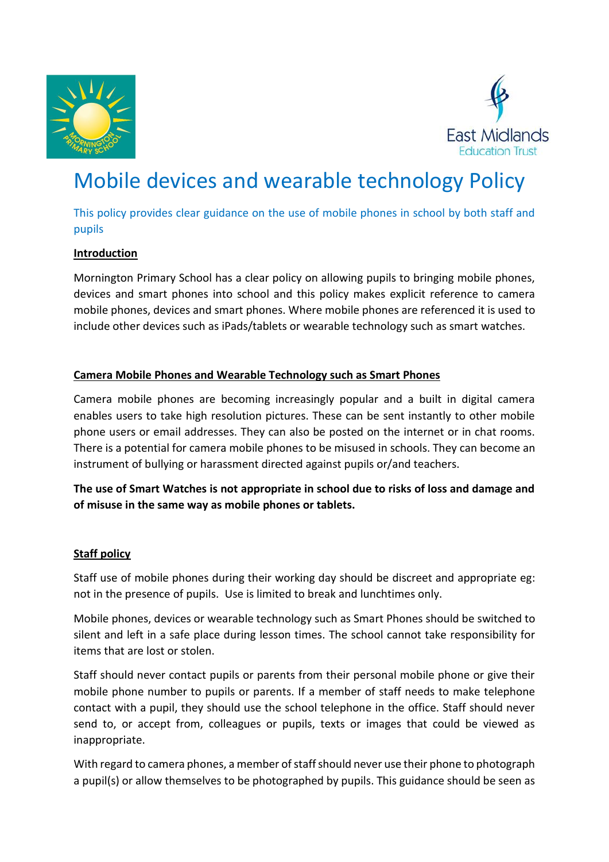



# Mobile devices and wearable technology Policy

This policy provides clear guidance on the use of mobile phones in school by both staff and pupils

#### **Introduction**

Mornington Primary School has a clear policy on allowing pupils to bringing mobile phones, devices and smart phones into school and this policy makes explicit reference to camera mobile phones, devices and smart phones. Where mobile phones are referenced it is used to include other devices such as iPads/tablets or wearable technology such as smart watches.

#### **Camera Mobile Phones and Wearable Technology such as Smart Phones**

Camera mobile phones are becoming increasingly popular and a built in digital camera enables users to take high resolution pictures. These can be sent instantly to other mobile phone users or email addresses. They can also be posted on the internet or in chat rooms. There is a potential for camera mobile phones to be misused in schools. They can become an instrument of bullying or harassment directed against pupils or/and teachers.

**The use of Smart Watches is not appropriate in school due to risks of loss and damage and of misuse in the same way as mobile phones or tablets.** 

#### **Staff policy**

Staff use of mobile phones during their working day should be discreet and appropriate eg: not in the presence of pupils. Use is limited to break and lunchtimes only.

Mobile phones, devices or wearable technology such as Smart Phones should be switched to silent and left in a safe place during lesson times. The school cannot take responsibility for items that are lost or stolen.

Staff should never contact pupils or parents from their personal mobile phone or give their mobile phone number to pupils or parents. If a member of staff needs to make telephone contact with a pupil, they should use the school telephone in the office. Staff should never send to, or accept from, colleagues or pupils, texts or images that could be viewed as inappropriate.

With regard to camera phones, a member of staff should never use their phone to photograph a pupil(s) or allow themselves to be photographed by pupils. This guidance should be seen as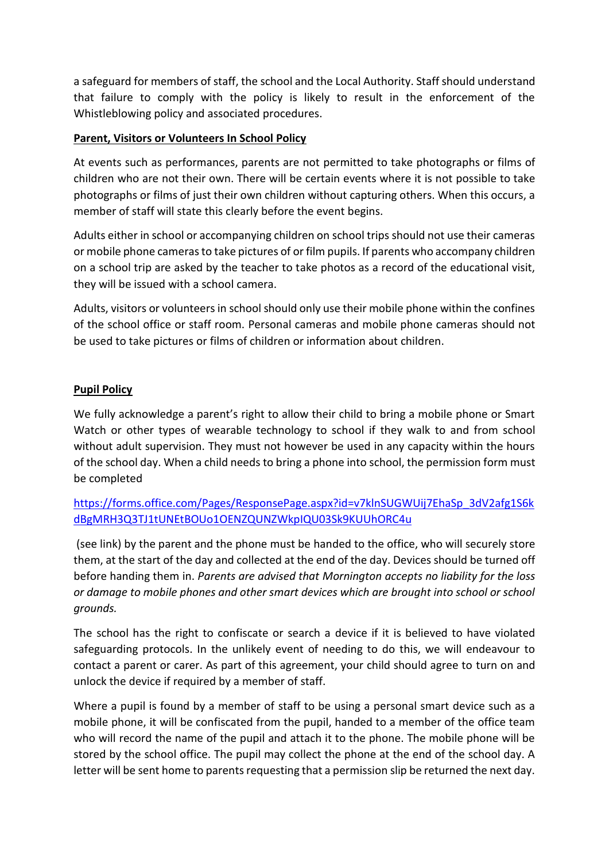a safeguard for members of staff, the school and the Local Authority. Staff should understand that failure to comply with the policy is likely to result in the enforcement of the Whistleblowing policy and associated procedures.

### **Parent, Visitors or Volunteers In School Policy**

At events such as performances, parents are not permitted to take photographs or films of children who are not their own. There will be certain events where it is not possible to take photographs or films of just their own children without capturing others. When this occurs, a member of staff will state this clearly before the event begins.

Adults either in school or accompanying children on school trips should not use their cameras or mobile phone cameras to take pictures of or film pupils. If parents who accompany children on a school trip are asked by the teacher to take photos as a record of the educational visit, they will be issued with a school camera.

Adults, visitors or volunteers in school should only use their mobile phone within the confines of the school office or staff room. Personal cameras and mobile phone cameras should not be used to take pictures or films of children or information about children.

## **Pupil Policy**

We fully acknowledge a parent's right to allow their child to bring a mobile phone or Smart Watch or other types of wearable technology to school if they walk to and from school without adult supervision. They must not however be used in any capacity within the hours of the school day. When a child needs to bring a phone into school, the permission form must be completed

[https://forms.office.com/Pages/ResponsePage.aspx?id=v7klnSUGWUij7EhaSp\\_3dV2afg1S6k](https://forms.office.com/Pages/ResponsePage.aspx?id=v7klnSUGWUij7EhaSp_3dV2afg1S6kdBgMRH3Q3TJ1tUNEtBOUo1OENZQUNZWkpIQU03Sk9KUUhORC4u) [dBgMRH3Q3TJ1tUNEtBOUo1OENZQUNZWkpIQU03Sk9KUUhORC4u](https://forms.office.com/Pages/ResponsePage.aspx?id=v7klnSUGWUij7EhaSp_3dV2afg1S6kdBgMRH3Q3TJ1tUNEtBOUo1OENZQUNZWkpIQU03Sk9KUUhORC4u)

(see link) by the parent and the phone must be handed to the office, who will securely store them, at the start of the day and collected at the end of the day. Devices should be turned off before handing them in. *Parents are advised that Mornington accepts no liability for the loss or damage to mobile phones and other smart devices which are brought into school or school grounds.* 

The school has the right to confiscate or search a device if it is believed to have violated safeguarding protocols. In the unlikely event of needing to do this, we will endeavour to contact a parent or carer. As part of this agreement, your child should agree to turn on and unlock the device if required by a member of staff.

Where a pupil is found by a member of staff to be using a personal smart device such as a mobile phone, it will be confiscated from the pupil, handed to a member of the office team who will record the name of the pupil and attach it to the phone. The mobile phone will be stored by the school office. The pupil may collect the phone at the end of the school day. A letter will be sent home to parents requesting that a permission slip be returned the next day.